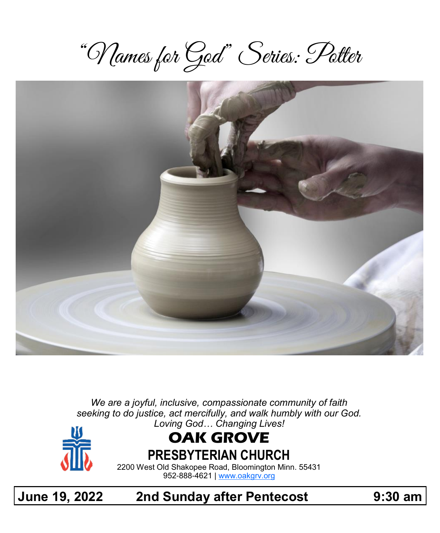"Names for God" Series: Potter



*We are a joyful, inclusive, compassionate community of faith seeking to do justice, act mercifully, and walk humbly with our God. Loving God… Changing Lives!*



# **OAK GROVE**

**PRESBYTERIAN CHURCH**

2200 West Old Shakopee Road, Bloomington Minn. 55431 952-888-4621 | [www.oakgrv.org](https://www.oakgrv.org)

## **June 19, 2022 2nd Sunday after Pentecost 9:30 am**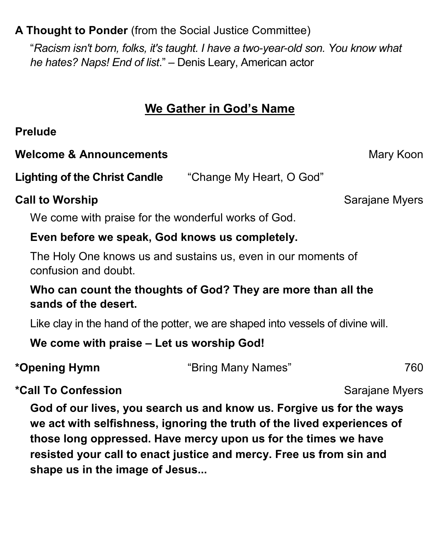### **A Thought to Ponder** (from the Social Justice Committee)

"*Racism isn't born, folks, it's taught. I have a two-year-old son. You know what he hates? Naps! End of list*." – Denis Leary, American actor

## **We Gather in God's Name**

#### **Prelude**

## **Welcome & Announcements** Mary Koon

**Lighting of the Christ Candle** "Change My Heart, O God"

#### **Call to Worship** Sarajane Myers

We come with praise for the wonderful works of God.

#### **Even before we speak, God knows us completely.**

The Holy One knows us and sustains us, even in our moments of confusion and doubt.

#### **Who can count the thoughts of God? They are more than all the sands of the desert.**

Like clay in the hand of the potter, we are shaped into vessels of divine will.

**We come with praise – Let us worship God!**

| *Opening Hymn | "Bring Many Names" | 760 |
|---------------|--------------------|-----|
|---------------|--------------------|-----|

\*Call To Confession **Sarajane Myers** Sarajane Myers

**God of our lives, you search us and know us. Forgive us for the ways we act with selfishness, ignoring the truth of the lived experiences of those long oppressed. Have mercy upon us for the times we have resisted your call to enact justice and mercy. Free us from sin and shape us in the image of Jesus...**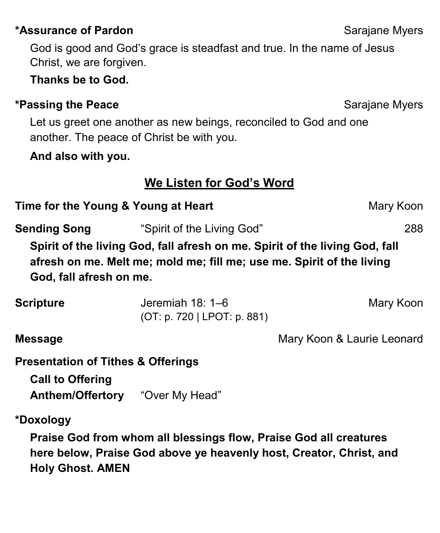## **\*Assurance of Pardon** Sarajane Myers

God is good and God's grace is steadfast and true. In the name of Jesus Christ, we are forgiven.

**Thanks be to God.**

## **\*Passing the Peace** Sarajane Myers

Let us greet one another as new beings, reconciled to God and one another. The peace of Christ be with you.

## **And also with you.**

## **We Listen for God's Word**

# **Time for the Young & Young at Heart** Mary Koon **Sending Song** "Spirit of the Living God" 288 **Spirit of the living God, fall afresh on me. Spirit of the living God, fall afresh on me. Melt me; mold me; fill me; use me. Spirit of the living God, fall afresh on me. Scripture Conservery Scripture** Jeremiah 18: 1–6 Mary Koon (OT: p. 720 | LPOT: p. 881) **Message** Mary Koon & Laurie Leonard **Presentation of Tithes & Offerings Call to Offering**

**Anthem/Offertory** "Over My Head"

**\*Doxology**

**Praise God from whom all blessings flow, Praise God all creatures here below, Praise God above ye heavenly host, Creator, Christ, and Holy Ghost. AMEN**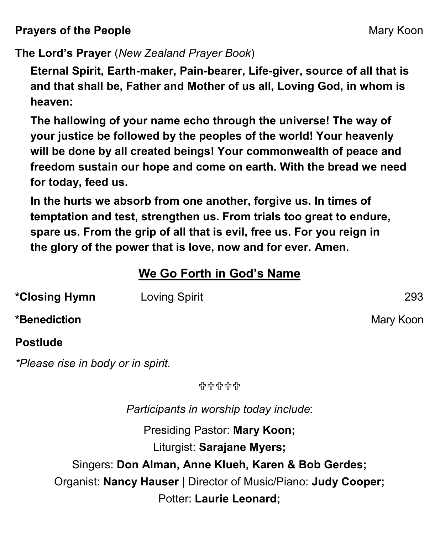**Prayers of the People** Mary Koon

**The Lord's Prayer** (*New Zealand Prayer Book*)

**Eternal Spirit, Earth-maker, Pain-bearer, Life-giver, source of all that is and that shall be, Father and Mother of us all, Loving God, in whom is heaven:**

**The hallowing of your name echo through the universe! The way of your justice be followed by the peoples of the world! Your heavenly will be done by all created beings! Your commonwealth of peace and freedom sustain our hope and come on earth. With the bread we need for today, feed us.**

**In the hurts we absorb from one another, forgive us. In times of temptation and test, strengthen us. From trials too great to endure, spare us. From the grip of all that is evil, free us. For you reign in the glory of the power that is love, now and for ever. Amen.**

## **We Go Forth in God's Name**

| <i><b>*Closing Hymn</b></i>               | Loving Spirit                          | 293                                                            |  |
|-------------------------------------------|----------------------------------------|----------------------------------------------------------------|--|
| *Benediction                              |                                        | Mary Koon                                                      |  |
| <b>Postlude</b>                           |                                        |                                                                |  |
| <i>*Please rise in body or in spirit.</i> |                                        |                                                                |  |
|                                           | 유유유유유                                  |                                                                |  |
|                                           | Participants in worship today include: |                                                                |  |
|                                           | Presiding Pastor: Mary Koon;           |                                                                |  |
| Liturgist: Sarajane Myers;                |                                        |                                                                |  |
|                                           |                                        | Singers: Don Alman, Anne Klueh, Karen & Bob Gerdes;            |  |
|                                           |                                        | Organist: Nancy Hauser   Director of Music/Piano: Judy Cooper; |  |
|                                           | Potter: Laurie Leonard;                |                                                                |  |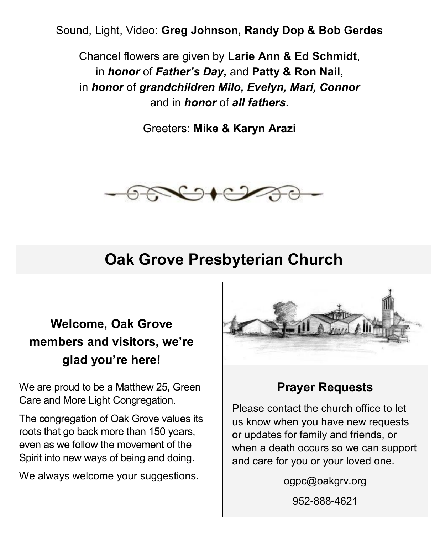Sound, Light, Video: **Greg Johnson, Randy Dop & Bob Gerdes**

Chancel flowers are given by **Larie Ann & Ed Schmidt**, in *honor* of *Father's Day,* and **Patty & Ron Nail**, in *honor* of *grandchildren Milo, Evelyn, Mari, Connor* and in *honor* of *all fathers*.

Greeters: **Mike & Karyn Arazi**



## **Oak Grove Presbyterian Church**

## **Welcome, Oak Grove members and visitors, we're glad you're here!**

We are proud to be a Matthew 25, Green Care and More Light Congregation.

The congregation of Oak Grove values its roots that go back more than 150 years, even as we follow the movement of the Spirit into new ways of being and doing.

We always welcome your suggestions.



#### **Prayer Requests**

Please contact the church office to let us know when you have new requests or updates for family and friends, or when a death occurs so we can support and care for you or your loved one.

[ogpc@oakgrv.org](mailto:ogpc@oakgrv.org)

952-888-4621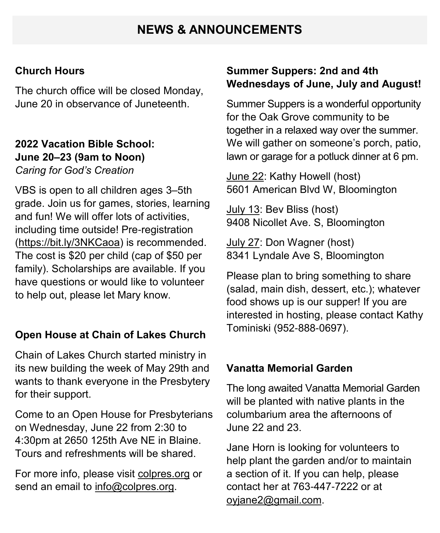## **NEWS & ANNOUNCEMENTS**

#### **Church Hours**

The church office will be closed Monday, June 20 in observance of Juneteenth.

#### **2022 Vacation Bible School: June 20–23 (9am to Noon)** *Caring for God's Creation*

VBS is open to all children ages 3–5th grade. Join us for games, stories, learning and fun! We will offer lots of activities, including time outside! Pre-registration [\(https://bit.ly/3NKCaoa\)](https://bit.ly/3NKCaoa) is recommended. The cost is \$20 per child (cap of \$50 per family). Scholarships are available. If you have questions or would like to volunteer to help out, please let Mary know.

#### **Open House at Chain of Lakes Church**

Chain of Lakes Church started ministry in its new building the week of May 29th and wants to thank everyone in the Presbytery for their support.

Come to an Open House for Presbyterians on Wednesday, June 22 from 2:30 to 4:30pm at 2650 125th Ave NE in Blaine. Tours and refreshments will be shared.

For more info, please visit [colpres.org](https://colpres.org) or send an email to [info@colpres.org.](mailto:info@colpres.org)

#### **Summer Suppers: 2nd and 4th Wednesdays of June, July and August!**

Summer Suppers is a wonderful opportunity for the Oak Grove community to be together in a relaxed way over the summer. We will gather on someone's porch, patio, lawn or garage for a potluck dinner at 6 pm.

June 22: Kathy Howell (host) 5601 American Blvd W, Bloomington

July 13: Bev Bliss (host) 9408 Nicollet Ave. S, Bloomington

July 27: Don Wagner (host) 8341 Lyndale Ave S, Bloomington

Please plan to bring something to share (salad, main dish, dessert, etc.); whatever food shows up is our supper! If you are interested in hosting, please contact Kathy Tominiski (952-888-0697).

#### **Vanatta Memorial Garden**

The long awaited Vanatta Memorial Garden will be planted with native plants in the columbarium area the afternoons of June 22 and 23.

Jane Horn is looking for volunteers to help plant the garden and/or to maintain a section of it. If you can help, please contact her at 763-447-7222 or at [oyjane2@gmail.com.](mailto:oyjane2@gmail.com)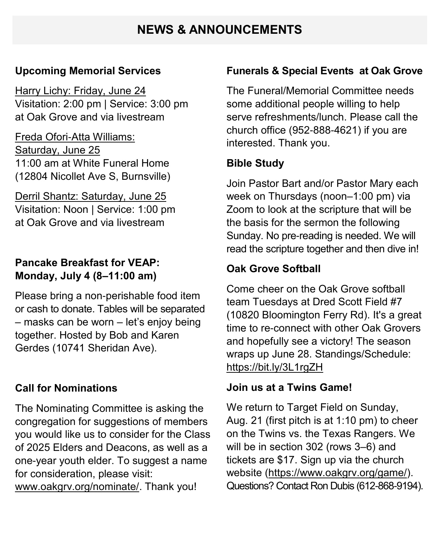## **NEWS & ANNOUNCEMENTS**

#### **Upcoming Memorial Services**

Harry Lichy: Friday, June 24 Visitation: 2:00 pm | Service: 3:00 pm at Oak Grove and via livestream

Freda Ofori-Atta Williams: Saturday, June 25 11:00 am at White Funeral Home (12804 Nicollet Ave S, Burnsville)

Derril Shantz: Saturday, June 25 Visitation: Noon | Service: 1:00 pm at Oak Grove and via livestream

#### **Pancake Breakfast for VEAP: Monday, July 4 (8–11:00 am)**

Please bring a non-perishable food item or cash to donate. Tables will be separated – masks can be worn – let's enjoy being together. Hosted by Bob and Karen Gerdes (10741 Sheridan Ave).

#### **Call for Nominations**

The Nominating Committee is asking the congregation for suggestions of members you would like us to consider for the Class of 2025 Elders and Deacons, as well as a one-year youth elder. To suggest a name for consideration, please visit:

[www.oakgrv.org/nominate/.](http://www.oakgrv.org/nominate/) Thank you!

#### **Funerals & Special Events at Oak Grove**

The Funeral/Memorial Committee needs some additional people willing to help serve refreshments/lunch. Please call the church office (952-888-4621) if you are interested. Thank you.

#### **Bible Study**

Join Pastor Bart and/or Pastor Mary each week on Thursdays (noon–1:00 pm) via Zoom to look at the scripture that will be the basis for the sermon the following Sunday. No pre-reading is needed. We will read the scripture together and then dive in!

#### **Oak Grove Softball**

Come cheer on the Oak Grove softball team Tuesdays at Dred Scott Field #7 (10820 Bloomington Ferry Rd). It's a great time to re-connect with other Oak Grovers and hopefully see a victory! The season wraps up June 28. Standings/Schedule: <https://bit.ly/3L1rgZH>

#### **Join us at a Twins Game!**

We return to Target Field on Sunday, Aug. 21 (first pitch is at 1:10 pm) to cheer on the Twins vs. the Texas Rangers. We will be in section 302 (rows 3–6) and tickets are \$17. Sign up via the church website ([https://www.oakgrv.org/game/\)](https://www.oakgrv.org/game/). Questions? Contact Ron Dubis (612-868-9194).